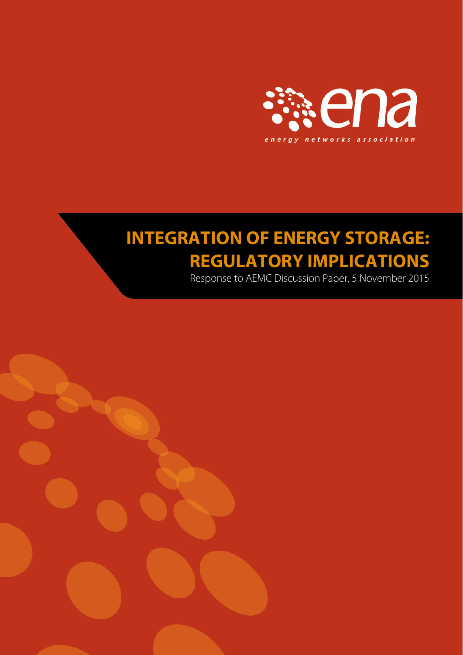

# **INTEGRATION OF ENERGY STORAGE: REGULATORY IMPLICATIONS**

Response to AEMC Discussion Paper, 5 November 2015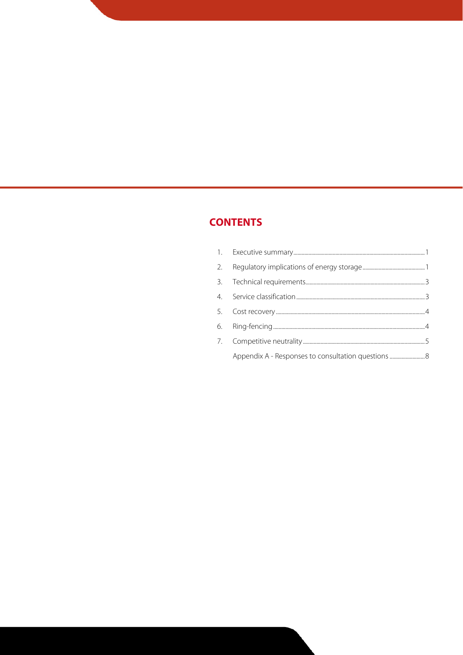# **CONTENTS**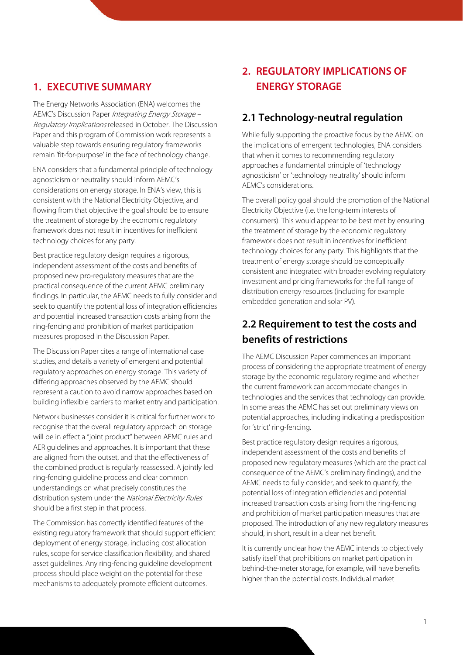#### **1. EXECUTIVE SUMMARY**

The Energy Networks Association (ENA) welcomes the AEMC's Discussion Paper Integrating Energy Storage – Regulatory Implications released in October. The Discussion Paper and this program of Commission work represents a valuable step towards ensuring regulatory frameworks remain 'fit-for-purpose' in the face of technology change.

ENA considers that a fundamental principle of technology agnosticism or neutrality should inform AEMC's considerations on energy storage. In ENA's view, this is consistent with the National Electricity Objective, and flowing from that objective the goal should be to ensure the treatment of storage by the economic regulatory framework does not result in incentives for inefficient technology choices for any party.

Best practice regulatory design requires a rigorous, independent assessment of the costs and benefits of proposed new pro-regulatory measures that are the practical consequence of the current AEMC preliminary findings. In particular, the AEMC needs to fully consider and seek to quantify the potential loss of integration efficiencies and potential increased transaction costs arising from the ring-fencing and prohibition of market participation measures proposed in the Discussion Paper.

The Discussion Paper cites a range of international case studies, and details a variety of emergent and potential regulatory approaches on energy storage. This variety of differing approaches observed by the AEMC should represent a caution to avoid narrow approaches based on building inflexible barriers to market entry and participation.

Network businesses consider it is critical for further work to recognise that the overall regulatory approach on storage will be in effect a "joint product" between AEMC rules and AER guidelines and approaches. It is important that these are aligned from the outset, and that the effectiveness of the combined product is regularly reassessed. A jointly led ring-fencing guideline process and clear common understandings on what precisely constitutes the distribution system under the National Electricity Rules should be a first step in that process.

The Commission has correctly identified features of the existing regulatory framework that should support efficient deployment of energy storage, including cost allocation rules, scope for service classification flexibility, and shared asset guidelines. Any ring-fencing guideline development process should place weight on the potential for these mechanisms to adequately promote efficient outcomes.

# **2. REGULATORY IMPLICATIONS OF ENERGY STORAGE**

## **2.1 Technology-neutral regulation**

While fully supporting the proactive focus by the AEMC on the implications of emergent technologies, ENA considers that when it comes to recommending regulatory approaches a fundamental principle of 'technology agnosticism' or 'technology neutrality' should inform AEMC's considerations.

The overall policy goal should the promotion of the National Electricity Objective (i.e. the long-term interests of consumers). This would appear to be best met by ensuring the treatment of storage by the economic regulatory framework does not result in incentives for inefficient technology choices for any party. This highlights that the treatment of energy storage should be conceptually consistent and integrated with broader evolving regulatory investment and pricing frameworks for the full range of distribution energy resources (including for example embedded generation and solar PV).

# **2.2 Requirement to test the costs and benefits of restrictions**

The AEMC Discussion Paper commences an important process of considering the appropriate treatment of energy storage by the economic regulatory regime and whether the current framework can accommodate changes in technologies and the services that technology can provide. In some areas the AEMC has set out preliminary views on potential approaches, including indicating a predisposition for 'strict' ring-fencing.

Best practice regulatory design requires a rigorous, independent assessment of the costs and benefits of proposed new regulatory measures (which are the practical consequence of the AEMC's preliminary findings), and the AEMC needs to fully consider, and seek to quantify, the potential loss of integration efficiencies and potential increased transaction costs arising from the ring-fencing and prohibition of market participation measures that are proposed. The introduction of any new regulatory measures should, in short, result in a clear net benefit.

It is currently unclear how the AEMC intends to objectively satisfy itself that prohibitions on market participation in behind-the-meter storage, for example, will have benefits higher than the potential costs. Individual market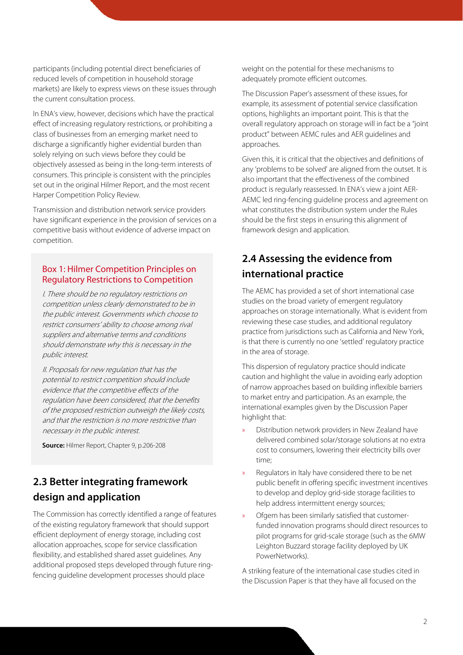participants (including potential direct beneficiaries of reduced levels of competition in household storage markets) are likely to express views on these issues through the current consultation process.

In ENA's view, however, decisions which have the practical effect of increasing regulatory restrictions, or prohibiting a class of businesses from an emerging market need to discharge a significantly higher evidential burden than solely relying on such views before they could be objectively assessed as being in the long-term interests of consumers. This principle is consistent with the principles set out in the original Hilmer Report, and the most recent Harper Competition Policy Review.

Transmission and distribution network service providers have significant experience in the provision of services on a competitive basis without evidence of adverse impact on competition.

#### Box 1: Hilmer Competition Principles on Regulatory Restrictions to Competition

I. There should be no regulatory restrictions on competition unless clearly demonstrated to be in the public interest. Governments which choose to restrict consumers' ability to choose among rival suppliers and alternative terms and conditions should demonstrate why this is necessary in the public interest.

II. Proposals for new regulation that has the potential to restrict competition should include evidence that the competitive effects of the regulation have been considered, that the benefits of the proposed restriction outweigh the likely costs, and that the restriction is no more restrictive than necessary in the public interest.

**Source:** Hilmer Report, Chapter 9, p.206-208

# **2.3 Better integrating framework design and application**

The Commission has correctly identified a range of features of the existing regulatory framework that should support efficient deployment of energy storage, including cost allocation approaches, scope for service classification flexibility, and established shared asset guidelines. Any additional proposed steps developed through future ringfencing guideline development processes should place

weight on the potential for these mechanisms to adequately promote efficient outcomes.

The Discussion Paper's assessment of these issues, for example, its assessment of potential service classification options, highlights an important point. This is that the overall regulatory approach on storage will in fact be a "joint product" between AEMC rules and AER guidelines and approaches.

Given this, it is critical that the objectives and definitions of any 'problems to be solved' are aligned from the outset. It is also important that the effectiveness of the combined product is regularly reassessed. In ENA's view a joint AER-AEMC led ring-fencing guideline process and agreement on what constitutes the distribution system under the Rules should be the first steps in ensuring this alignment of framework design and application.

# **2.4 Assessing the evidence from international practice**

The AEMC has provided a set of short international case studies on the broad variety of emergent regulatory approaches on storage internationally. What is evident from reviewing these case studies, and additional regulatory practice from jurisdictions such as California and New York, is that there is currently no one 'settled' regulatory practice in the area of storage.

This dispersion of regulatory practice should indicate caution and highlight the value in avoiding early adoption of narrow approaches based on building inflexible barriers to market entry and participation. As an example, the international examples given by the Discussion Paper highlight that:

- » Distribution network providers in New Zealand have delivered combined solar/storage solutions at no extra cost to consumers, lowering their electricity bills over time;
- » Regulators in Italy have considered there to be net public benefit in offering specific investment incentives to develop and deploy grid-side storage facilities to help address intermittent energy sources;
- » Ofgem has been similarly satisfied that customerfunded innovation programs should direct resources to pilot programs for grid-scale storage (such as the 6MW Leighton Buzzard storage facility deployed by UK PowerNetworks).

A striking feature of the international case studies cited in the Discussion Paper is that they have all focused on the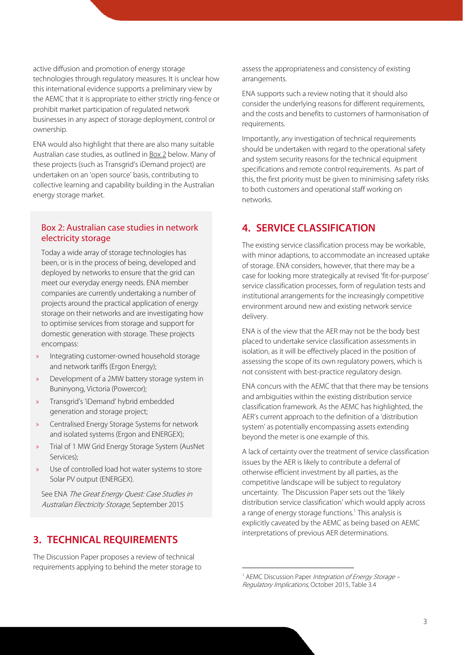active diffusion and promotion of energy storage technologies through regulatory measures. It is unclear how this international evidence supports a preliminary view by the AEMC that it is appropriate to either strictly ring-fence or prohibit market participation of regulated network businesses in any aspect of storage deployment, control or ownership.

ENA would also highlight that there are also many suitable Australian case studies, as outlined in Box 2 below. Many of these projects (such as Transgrid's iDemand project) are undertaken on an 'open source' basis, contributing to collective learning and capability building in the Australian energy storage market.

#### Box 2: Australian case studies in network electricity storage

Today a wide array of storage technologies has been, or is in the process of being, developed and deployed by networks to ensure that the grid can meet our everyday energy needs. ENA member companies are currently undertaking a number of projects around the practical application of energy storage on their networks and are investigating how to optimise services from storage and support for domestic generation with storage. These projects encompass:

- » Integrating customer-owned household storage and network tariffs (Ergon Energy);
- » Development of a 2MW battery storage system in Buninyong, Victoria (Powercor);
- » Transgrid's 'iDemand' hybrid embedded generation and storage project;
- » Centralised Energy Storage Systems for network and isolated systems (Ergon and ENERGEX);
- » Trial of 1 MW Grid Energy Storage System (AusNet Services);
- Use of controlled load hot water systems to store Solar PV output (ENERGEX).

See ENA The Great Energy Quest: Case Studies in Australian Electricity Storage, September 2015

#### **3. TECHNICAL REQUIREMENTS**

The Discussion Paper proposes a review of technical requirements applying to behind the meter storage to assess the appropriateness and consistency of existing arrangements.

ENA supports such a review noting that it should also consider the underlying reasons for different requirements, and the costs and benefits to customers of harmonisation of requirements.

Importantly, any investigation of technical requirements should be undertaken with regard to the operational safety and system security reasons for the technical equipment specifications and remote control requirements. As part of this, the first priority must be given to minimising safety risks to both customers and operational staff working on networks.

#### **4. SERVICE CLASSIFICATION**

The existing service classification process may be workable, with minor adaptions, to accommodate an increased uptake of storage. ENA considers, however, that there may be a case for looking more strategically at revised 'fit-for-purpose' service classification processes, form of regulation tests and institutional arrangements for the increasingly competitive environment around new and existing network service delivery.

ENA is of the view that the AER may not be the body best placed to undertake service classification assessments in isolation, as it will be effectively placed in the position of assessing the scope of its own regulatory powers, which is not consistent with best-practice regulatory design.

ENA concurs with the AEMC that that there may be tensions and ambiguities within the existing distribution service classification framework. As the AEMC has highlighted, the AER's current approach to the definition of a 'distribution system' as potentially encompassing assets extending beyond the meter is one example of this.

A lack of certainty over the treatment of service classification issues by the AER is likely to contribute a deferral of otherwise efficient investment by all parties, as the competitive landscape will be subject to regulatory uncertainty. The Discussion Paper sets out the 'likely distribution service classification' which would apply across a range of energy storage functions.<sup>1</sup> This analysis is explicitly caveated by the AEMC as being based on AEMC interpretations of previous AER determinations.

<sup>1</sup> AEMC Discussion Paper Integration of Energy Storage -Regulatory Implications, October 2015, Table 3.4

<u>.</u>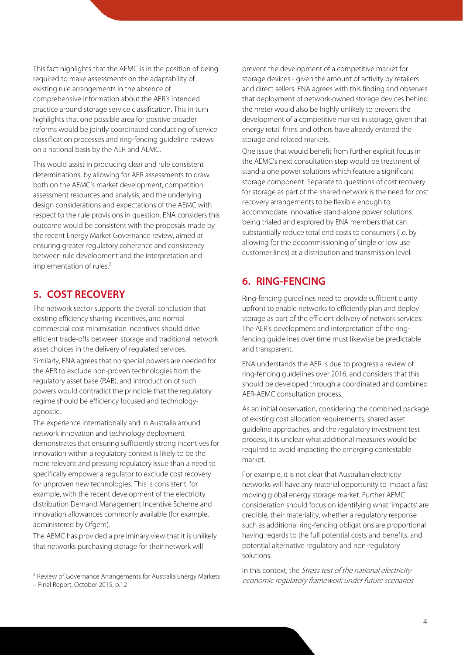This fact highlights that the AEMC is in the position of being required to make assessments on the adaptability of existing rule arrangements in the absence of comprehensive information about the AER's intended practice around storage service classification. This in turn highlights that one possible area for positive broader reforms would be jointly coordinated conducting of service classification processes and ring-fencing guideline reviews on a national basis by the AER and AEMC.

This would assist in producing clear and rule consistent determinations, by allowing for AER assessments to draw both on the AEMC's market development, competition assessment resources and analysis, and the underlying design considerations and expectations of the AEMC with respect to the rule provisions in question. ENA considers this outcome would be consistent with the proposals made by the recent Energy Market Governance review, aimed at ensuring greater regulatory coherence and consistency between rule development and the interpretation and implementation of rules.<sup>2</sup>

## **5. COST RECOVERY**

agnostic.

 $\overline{a}$ 

The network sector supports the overall conclusion that existing efficiency sharing incentives, and normal commercial cost minimisation incentives should drive efficient trade-offs between storage and traditional network asset choices in the delivery of regulated services. Similarly, ENA agrees that no special powers are needed for the AER to exclude non-proven technologies from the regulatory asset base (RAB), and introduction of such powers would contradict the principle that the regulatory regime should be efficiency focused and technology-

The experience internationally and in Australia around network innovation and technology deployment demonstrates that ensuring sufficiently strong incentives for innovation within a regulatory context is likely to be the more relevant and pressing regulatory issue than a need to specifically empower a regulator to exclude cost recovery for unproven new technologies. This is consistent, for example, with the recent development of the electricity distribution Demand Management Incentive Scheme and innovation allowances commonly available (for example, administered by Ofgem).

The AEMC has provided a preliminary view that it is unlikely that networks purchasing storage for their network will

prevent the development of a competitive market for storage devices - given the amount of activity by retailers and direct sellers. ENA agrees with this finding and observes that deployment of network-owned storage devices behind the meter would also be highly unlikely to prevent the development of a competitive market in storage, given that energy retail firms and others have already entered the storage and related markets.

One issue that would benefit from further explicit focus in the AEMC's next consultation step would be treatment of stand-alone power solutions which feature a significant storage component. Separate to questions of cost recovery for storage as part of the shared network is the need for cost recovery arrangements to be flexible enough to accommodate innovative stand-alone power solutions being trialed and explored by ENA members that can substantially reduce total end costs to consumers (i.e. by allowing for the decommissioning of single or low use customer lines) at a distribution and transmission level.

# **6. RING-FENCING**

Ring-fencing guidelines need to provide sufficient clarity upfront to enable networks to efficiently plan and deploy storage as part of the efficient delivery of network services. The AER's development and interpretation of the ringfencing guidelines over time must likewise be predictable and transparent.

ENA understands the AER is due to progress a review of ring-fencing guidelines over 2016, and considers that this should be developed through a coordinated and combined AER-AEMC consultation process.

As an initial observation, considering the combined package of existing cost allocation requirements, shared asset guideline approaches, and the regulatory investment test process, it is unclear what additional measures would be required to avoid impacting the emerging contestable market.

For example, it is not clear that Australian electricity networks will have any material opportunity to impact a fast moving global energy storage market. Further AEMC consideration should focus on identifying what 'impacts' are credible, their materiality, whether a regulatory response such as additional ring-fencing obligations are proportional having regards to the full potential costs and benefits, and potential alternative regulatory and non-regulatory solutions.

In this context, the *Stress test of the national electricity* economic regulatory framework under future scenarios

<sup>2</sup> Review of Governance Arrangements for Australia Energy Markets – Final Report, October 2015, p.12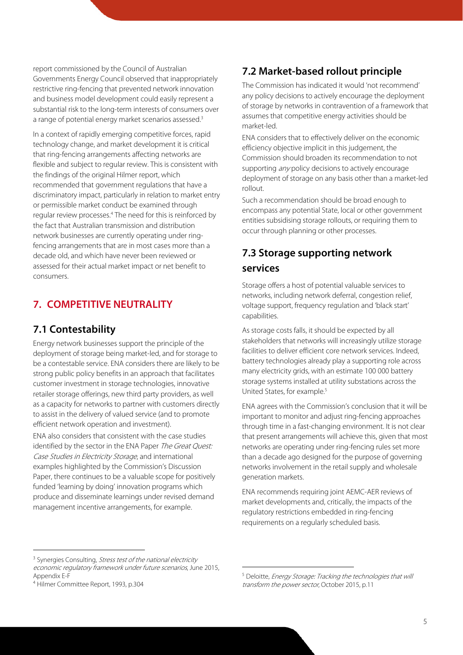report commissioned by the Council of Australian Governments Energy Council observed that inappropriately restrictive ring-fencing that prevented network innovation and business model development could easily represent a substantial risk to the long-term interests of consumers over a range of potential energy market scenarios assessed.<sup>3</sup>

In a context of rapidly emerging competitive forces, rapid technology change, and market development it is critical that ring-fencing arrangements affecting networks are flexible and subject to regular review. This is consistent with the findings of the original Hilmer report, which recommended that government regulations that have a discriminatory impact, particularly in relation to market entry or permissible market conduct be examined through regular review processes.<sup>4</sup> The need for this is reinforced by the fact that Australian transmission and distribution network businesses are currently operating under ringfencing arrangements that are in most cases more than a decade old, and which have never been reviewed or assessed for their actual market impact or net benefit to consumers.

## **7. COMPETITIVE NEUTRALITY**

## **7.1 Contestability**

Energy network businesses support the principle of the deployment of storage being market-led, and for storage to be a contestable service. ENA considers there are likely to be strong public policy benefits in an approach that facilitates customer investment in storage technologies, innovative retailer storage offerings, new third party providers, as well as a capacity for networks to partner with customers directly to assist in the delivery of valued service (and to promote efficient network operation and investment).

ENA also considers that consistent with the case studies identified by the sector in the ENA Paper The Great Quest: Case Studies in Electricity Storage, and international examples highlighted by the Commission's Discussion Paper, there continues to be a valuable scope for positively funded 'learning by doing' innovation programs which produce and disseminate learnings under revised demand management incentive arrangements, for example.

## **7.2 Market-based rollout principle**

The Commission has indicated it would 'not recommend' any policy decisions to actively encourage the deployment of storage by networks in contravention of a framework that assumes that competitive energy activities should be market-led.

ENA considers that to effectively deliver on the economic efficiency objective implicit in this judgement, the Commission should broaden its recommendation to not supporting *any* policy decisions to actively encourage deployment of storage on any basis other than a market-led rollout.

Such a recommendation should be broad enough to encompass any potential State, local or other government entities subsidising storage rollouts, or requiring them to occur through planning or other processes.

# **7.3 Storage supporting network services**

Storage offers a host of potential valuable services to networks, including network deferral, congestion relief, voltage support, frequency regulation and 'black start' capabilities.

As storage costs falls, it should be expected by all stakeholders that networks will increasingly utilize storage facilities to deliver efficient core network services. Indeed, battery technologies already play a supporting role across many electricity grids, with an estimate 100 000 battery storage systems installed at utility substations across the United States, for example.<sup>5</sup>

ENA agrees with the Commission's conclusion that it will be important to monitor and adjust ring-fencing approaches through time in a fast-changing environment. It is not clear that present arrangements will achieve this, given that most networks are operating under ring-fencing rules set more than a decade ago designed for the purpose of governing networks involvement in the retail supply and wholesale generation markets.

ENA recommends requiring joint AEMC-AER reviews of market developments and, critically, the impacts of the regulatory restrictions embedded in ring-fencing requirements on a regularly scheduled basis.

 $\overline{a}$ 

<u>.</u>

<sup>&</sup>lt;sup>3</sup> Synergies Consulting, *Stress test of the national electricity* economic regulatory framework under future scenarios, June 2015, Appendix E-F

<sup>4</sup> Hilmer Committee Report, 1993, p.304

<sup>5</sup> Deloitte, Energy Storage: Tracking the technologies that will transform the power sector, October 2015, p.11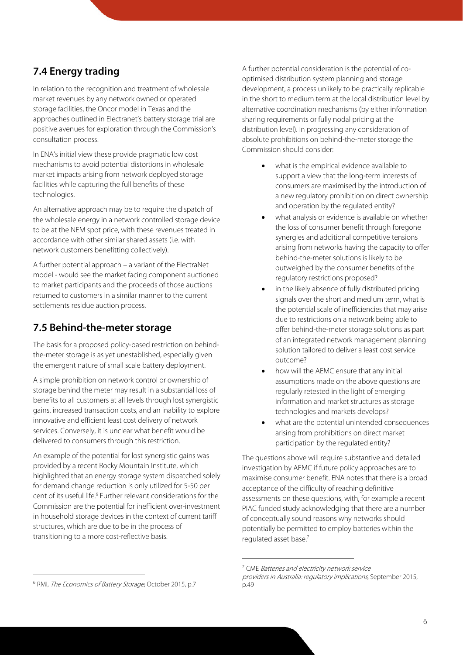# **7.4 Energy trading**

In relation to the recognition and treatment of wholesale market revenues by any network owned or operated storage facilities, the Oncor model in Texas and the approaches outlined in Electranet's battery storage trial are positive avenues for exploration through the Commission's consultation process.

In ENA's initial view these provide pragmatic low cost mechanisms to avoid potential distortions in wholesale market impacts arising from network deployed storage facilities while capturing the full benefits of these technologies.

An alternative approach may be to require the dispatch of the wholesale energy in a network controlled storage device to be at the NEM spot price, with these revenues treated in accordance with other similar shared assets (i.e. with network customers benefitting collectively).

A further potential approach – a variant of the ElectraNet model - would see the market facing component auctioned to market participants and the proceeds of those auctions returned to customers in a similar manner to the current settlements residue auction process.

## **7.5 Behind-the-meter storage**

The basis for a proposed policy-based restriction on behindthe-meter storage is as yet unestablished, especially given the emergent nature of small scale battery deployment.

A simple prohibition on network control or ownership of storage behind the meter may result in a substantial loss of benefits to all customers at all levels through lost synergistic gains, increased transaction costs, and an inability to explore innovative and efficient least cost delivery of network services. Conversely, it is unclear what benefit would be delivered to consumers through this restriction.

An example of the potential for lost synergistic gains was provided by a recent Rocky Mountain Institute, which highlighted that an energy storage system dispatched solely for demand change reduction is only utilized for 5-50 per cent of its useful life.<sup>6</sup> Further relevant considerations for the Commission are the potential for inefficient over-investment in household storage devices in the context of current tariff structures, which are due to be in the process of transitioning to a more cost-reflective basis.

A further potential consideration is the potential of cooptimised distribution system planning and storage development, a process unlikely to be practically replicable in the short to medium term at the local distribution level by alternative coordination mechanisms (by either information sharing requirements or fully nodal pricing at the distribution level). In progressing any consideration of absolute prohibitions on behind-the-meter storage the Commission should consider:

- what is the empirical evidence available to support a view that the long-term interests of consumers are maximised by the introduction of a new regulatory prohibition on direct ownership and operation by the regulated entity?
- what analysis or evidence is available on whether the loss of consumer benefit through foregone synergies and additional competitive tensions arising from networks having the capacity to offer behind-the-meter solutions is likely to be outweighed by the consumer benefits of the regulatory restrictions proposed?
- in the likely absence of fully distributed pricing signals over the short and medium term, what is the potential scale of inefficiencies that may arise due to restrictions on a network being able to offer behind-the-meter storage solutions as part of an integrated network management planning solution tailored to deliver a least cost service outcome?
- how will the AEMC ensure that any initial assumptions made on the above questions are regularly retested in the light of emerging information and market structures as storage technologies and markets develops?
- what are the potential unintended consequences arising from prohibitions on direct market participation by the regulated entity?

The questions above will require substantive and detailed investigation by AEMC if future policy approaches are to maximise consumer benefit. ENA notes that there is a broad acceptance of the difficulty of reaching definitive assessments on these questions, with, for example a recent PIAC funded study acknowledging that there are a number of conceptually sound reasons why networks should potentially be permitted to employ batteries within the regulated asset base.<sup>7</sup>

<u>.</u>

 $\overline{a}$ 

<sup>&</sup>lt;sup>7</sup> CME Batteries and electricity network service

providers in Australia: regulatory implications, September 2015, p.49

<sup>&</sup>lt;sup>6</sup> RMI, The Economics of Battery Storage, October 2015, p.7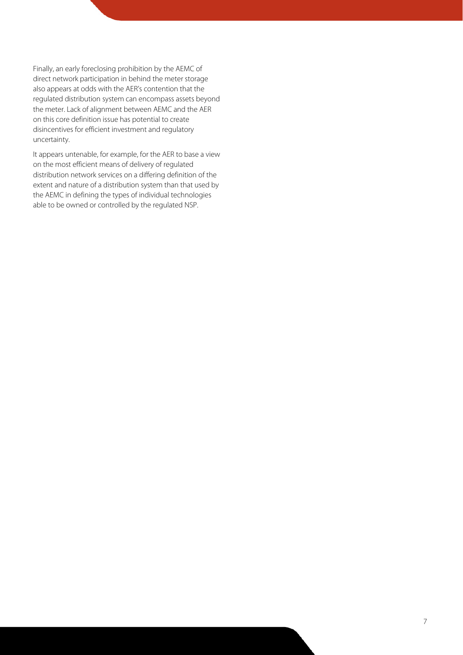Finally, an early foreclosing prohibition by the AEMC of direct network participation in behind the meter storage also appears at odds with the AER's contention that the regulated distribution system can encompass assets beyond the meter. Lack of alignment between AEMC and the AER on this core definition issue has potential to create disincentives for efficient investment and regulatory uncertainty.

It appears untenable, for example, for the AER to base a view on the most efficient means of delivery of regulated distribution network services on a differing definition of the extent and nature of a distribution system than that used by the AEMC in defining the types of individual technologies able to be owned or controlled by the regulated NSP.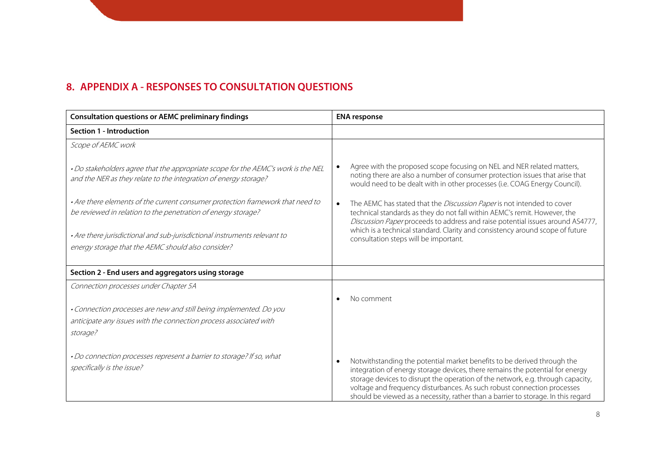## **8. APPENDIX A - RESPONSES TO CONSULTATION QUESTIONS**

| <b>Consultation questions or AEMC preliminary findings</b>                                                                                            | <b>ENA</b> response                                                                                                                                                                                                                                                                                                                                                                                         |
|-------------------------------------------------------------------------------------------------------------------------------------------------------|-------------------------------------------------------------------------------------------------------------------------------------------------------------------------------------------------------------------------------------------------------------------------------------------------------------------------------------------------------------------------------------------------------------|
| Section 1 - Introduction                                                                                                                              |                                                                                                                                                                                                                                                                                                                                                                                                             |
| Scope of AEMC work                                                                                                                                    |                                                                                                                                                                                                                                                                                                                                                                                                             |
| . Do stakeholders agree that the appropriate scope for the AEMC's work is the NEL<br>and the NER as they relate to the integration of energy storage? | Agree with the proposed scope focusing on NEL and NER related matters,<br>noting there are also a number of consumer protection issues that arise that<br>would need to be dealt with in other processes (i.e. COAG Energy Council).                                                                                                                                                                        |
| . Are there elements of the current consumer protection framework that need to<br>be reviewed in relation to the penetration of energy storage?       | The AEMC has stated that the <i>Discussion Paper</i> is not intended to cover<br>technical standards as they do not fall within AEMC's remit. However, the<br>Discussion Paper proceeds to address and raise potential issues around AS4777,                                                                                                                                                                |
| • Are there jurisdictional and sub-jurisdictional instruments relevant to<br>energy storage that the AEMC should also consider?                       | which is a technical standard. Clarity and consistency around scope of future<br>consultation steps will be important.                                                                                                                                                                                                                                                                                      |
| Section 2 - End users and aggregators using storage                                                                                                   |                                                                                                                                                                                                                                                                                                                                                                                                             |
| Connection processes under Chapter 5A                                                                                                                 |                                                                                                                                                                                                                                                                                                                                                                                                             |
|                                                                                                                                                       | No comment                                                                                                                                                                                                                                                                                                                                                                                                  |
| . Connection processes are new and still being implemented. Do you                                                                                    |                                                                                                                                                                                                                                                                                                                                                                                                             |
| anticipate any issues with the connection process associated with                                                                                     |                                                                                                                                                                                                                                                                                                                                                                                                             |
| storage?                                                                                                                                              |                                                                                                                                                                                                                                                                                                                                                                                                             |
| . Do connection processes represent a barrier to storage? If so, what<br>specifically is the issue?                                                   | Notwithstanding the potential market benefits to be derived through the<br>integration of energy storage devices, there remains the potential for energy<br>storage devices to disrupt the operation of the network, e.g. through capacity,<br>voltage and frequency disturbances. As such robust connection processes<br>should be viewed as a necessity, rather than a barrier to storage. In this regard |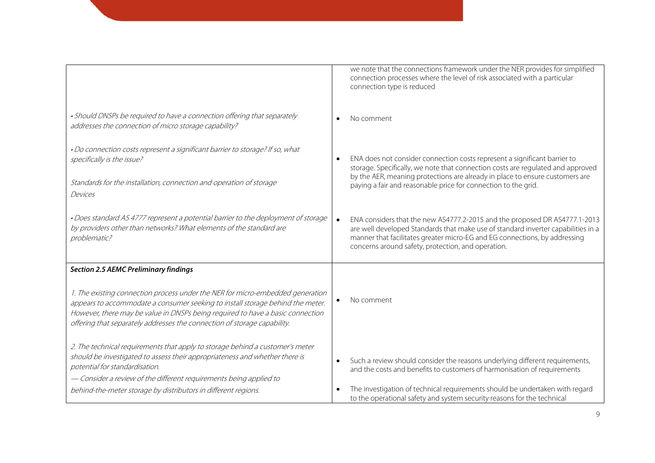|                                                                                                                                                                                                                                                                                                                                | we note that the connections framework under the NER provides for simplified<br>connection processes where the level of risk associated with a particular<br>connection type is reduced                                                                                                             |
|--------------------------------------------------------------------------------------------------------------------------------------------------------------------------------------------------------------------------------------------------------------------------------------------------------------------------------|-----------------------------------------------------------------------------------------------------------------------------------------------------------------------------------------------------------------------------------------------------------------------------------------------------|
| • Should DNSPs be required to have a connection offering that separately<br>addresses the connection of micro storage capability?                                                                                                                                                                                              | No comment                                                                                                                                                                                                                                                                                          |
| . Do connection costs represent a significant barrier to storage? If so, what<br>specifically is the issue?                                                                                                                                                                                                                    | ENA does not consider connection costs represent a significant barrier to<br>storage. Specifically, we note that connection costs are regulated and approved                                                                                                                                        |
| Standards for the installation, connection and operation of storage<br>Devices                                                                                                                                                                                                                                                 | by the AER, meaning protections are already in place to ensure customers are<br>paying a fair and reasonable price for connection to the grid.                                                                                                                                                      |
| . Does standard AS 4777 represent a potential barrier to the deployment of storage<br>by providers other than networks? What elements of the standard are<br>problematic?                                                                                                                                                      | ENA considers that the new AS4777.2-2015 and the proposed DR AS4777.1-2013<br>are well developed Standards that make use of standard inverter capabilities in a<br>manner that facilitates greater micro-EG and EG connections, by addressing<br>concerns around safety, protection, and operation. |
| <b>Section 2.5 AEMC Preliminary findings</b>                                                                                                                                                                                                                                                                                   |                                                                                                                                                                                                                                                                                                     |
| 1. The existing connection process under the NER for micro-embedded generation<br>appears to accommodate a consumer seeking to install storage behind the meter.<br>However, there may be value in DNSPs being required to have a basic connection<br>offering that separately addresses the connection of storage capability. | No comment                                                                                                                                                                                                                                                                                          |
| 2. The technical requirements that apply to storage behind a customer's meter<br>should be investigated to assess their appropriateness and whether there is<br>potential for standardisation.<br>- Consider a review of the different requirements being applied to                                                           | Such a review should consider the reasons underlying different requirements,<br>$\bullet$<br>and the costs and benefits to customers of harmonisation of requirements                                                                                                                               |
| behind-the-meter storage by distributors in different regions.                                                                                                                                                                                                                                                                 | The investigation of technical requirements should be undertaken with regard<br>to the operational safety and system security reasons for the technical                                                                                                                                             |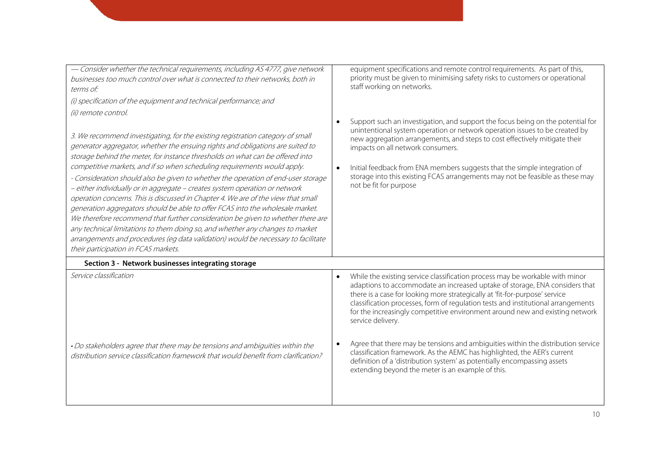| - Consider whether the technical requirements, including AS 4777, give network<br>businesses too much control over what is connected to their networks, both in<br>terms of:<br>(i) specification of the equipment and technical performance; and<br>(ii) remote control.<br>3. We recommend investigating, for the existing registration category of small<br>generator aggregator, whether the ensuing rights and obligations are suited to<br>storage behind the meter, for instance thresholds on what can be offered into<br>competitive markets, and if so when scheduling requirements would apply.<br>- Consideration should also be given to whether the operation of end-user storage<br>- either individually or in aggregate - creates system operation or network<br>operation concerns. This is discussed in Chapter 4. We are of the view that small<br>generation aggregators should be able to offer FCAS into the wholesale market.<br>We therefore recommend that further consideration be given to whether there are<br>any technical limitations to them doing so, and whether any changes to market<br>arrangements and procedures (eg data validation) would be necessary to facilitate<br>their participation in FCAS markets. | equipment specifications and remote control requirements. As part of this,<br>priority must be given to minimising safety risks to customers or operational<br>staff working on networks.<br>Support such an investigation, and support the focus being on the potential for<br>$\bullet$<br>unintentional system operation or network operation issues to be created by<br>new aggregation arrangements, and steps to cost effectively mitigate their<br>impacts on all network consumers.<br>Initial feedback from ENA members suggests that the simple integration of<br>storage into this existing FCAS arrangements may not be feasible as these may<br>not be fit for purpose |
|--------------------------------------------------------------------------------------------------------------------------------------------------------------------------------------------------------------------------------------------------------------------------------------------------------------------------------------------------------------------------------------------------------------------------------------------------------------------------------------------------------------------------------------------------------------------------------------------------------------------------------------------------------------------------------------------------------------------------------------------------------------------------------------------------------------------------------------------------------------------------------------------------------------------------------------------------------------------------------------------------------------------------------------------------------------------------------------------------------------------------------------------------------------------------------------------------------------------------------------------------------|-------------------------------------------------------------------------------------------------------------------------------------------------------------------------------------------------------------------------------------------------------------------------------------------------------------------------------------------------------------------------------------------------------------------------------------------------------------------------------------------------------------------------------------------------------------------------------------------------------------------------------------------------------------------------------------|
| Section 3 - Network businesses integrating storage<br>Service classification                                                                                                                                                                                                                                                                                                                                                                                                                                                                                                                                                                                                                                                                                                                                                                                                                                                                                                                                                                                                                                                                                                                                                                           | While the existing service classification process may be workable with minor<br>$\bullet$<br>adaptions to accommodate an increased uptake of storage, ENA considers that<br>there is a case for looking more strategically at 'fit-for-purpose' service<br>classification processes, form of regulation tests and institutional arrangements<br>for the increasingly competitive environment around new and existing network<br>service delivery.                                                                                                                                                                                                                                   |
| . Do stakeholders agree that there may be tensions and ambiguities within the<br>distribution service classification framework that would benefit from clarification?                                                                                                                                                                                                                                                                                                                                                                                                                                                                                                                                                                                                                                                                                                                                                                                                                                                                                                                                                                                                                                                                                  | Agree that there may be tensions and ambiguities within the distribution service<br>classification framework. As the AEMC has highlighted, the AER's current<br>definition of a 'distribution system' as potentially encompassing assets<br>extending beyond the meter is an example of this.                                                                                                                                                                                                                                                                                                                                                                                       |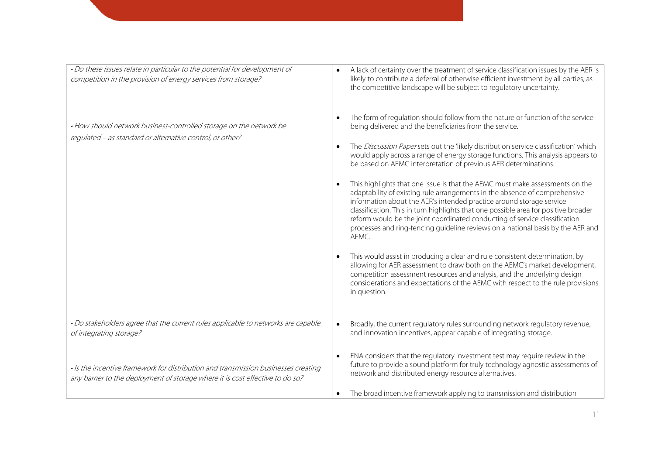| . Do these issues relate in particular to the potential for development of<br>competition in the provision of energy services from storage?                         | A lack of certainty over the treatment of service classification issues by the AER is<br>likely to contribute a deferral of otherwise efficient investment by all parties, as<br>the competitive landscape will be subject to regulatory uncertainty.                                                                                                                                                                                                                                                                                                                  |
|---------------------------------------------------------------------------------------------------------------------------------------------------------------------|------------------------------------------------------------------------------------------------------------------------------------------------------------------------------------------------------------------------------------------------------------------------------------------------------------------------------------------------------------------------------------------------------------------------------------------------------------------------------------------------------------------------------------------------------------------------|
| . How should network business-controlled storage on the network be<br>regulated - as standard or alternative control, or other?                                     | The form of regulation should follow from the nature or function of the service<br>being delivered and the beneficiaries from the service.<br>The Discussion Papersets out the 'likely distribution service classification' which<br>would apply across a range of energy storage functions. This analysis appears to                                                                                                                                                                                                                                                  |
|                                                                                                                                                                     | be based on AEMC interpretation of previous AER determinations.<br>This highlights that one issue is that the AEMC must make assessments on the<br>adaptability of existing rule arrangements in the absence of comprehensive<br>information about the AER's intended practice around storage service<br>classification. This in turn highlights that one possible area for positive broader<br>reform would be the joint coordinated conducting of service classification<br>processes and ring-fencing guideline reviews on a national basis by the AER and<br>AEMC. |
|                                                                                                                                                                     | This would assist in producing a clear and rule consistent determination, by<br>allowing for AER assessment to draw both on the AEMC's market development,<br>competition assessment resources and analysis, and the underlying design<br>considerations and expectations of the AEMC with respect to the rule provisions<br>in question.                                                                                                                                                                                                                              |
| . Do stakeholders agree that the current rules applicable to networks are capable<br>of integrating storage?                                                        | Broadly, the current regulatory rules surrounding network regulatory revenue,<br>$\bullet$<br>and innovation incentives, appear capable of integrating storage.                                                                                                                                                                                                                                                                                                                                                                                                        |
| · Is the incentive framework for distribution and transmission businesses creating<br>any barrier to the deployment of storage where it is cost effective to do so? | ENA considers that the regulatory investment test may require review in the<br>future to provide a sound platform for truly technology agnostic assessments of<br>network and distributed energy resource alternatives.                                                                                                                                                                                                                                                                                                                                                |
|                                                                                                                                                                     | The broad incentive framework applying to transmission and distribution                                                                                                                                                                                                                                                                                                                                                                                                                                                                                                |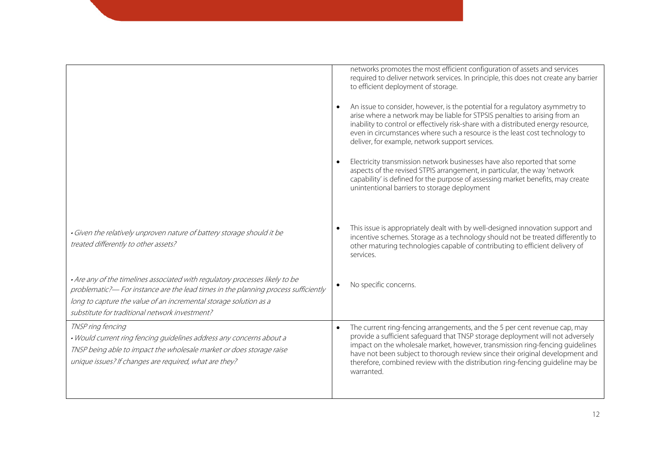|                                                                                                                                                                                                                                                                                           | networks promotes the most efficient configuration of assets and services<br>required to deliver network services. In principle, this does not create any barrier<br>to efficient deployment of storage.<br>An issue to consider, however, is the potential for a regulatory asymmetry to<br>arise where a network may be liable for STPSIS penalties to arising from an<br>inability to control or effectively risk-share with a distributed energy resource,<br>even in circumstances where such a resource is the least cost technology to<br>deliver, for example, network support services.<br>Electricity transmission network businesses have also reported that some<br>aspects of the revised STPIS arrangement, in particular, the way 'network<br>capability' is defined for the purpose of assessing market benefits, may create<br>unintentional barriers to storage deployment |
|-------------------------------------------------------------------------------------------------------------------------------------------------------------------------------------------------------------------------------------------------------------------------------------------|----------------------------------------------------------------------------------------------------------------------------------------------------------------------------------------------------------------------------------------------------------------------------------------------------------------------------------------------------------------------------------------------------------------------------------------------------------------------------------------------------------------------------------------------------------------------------------------------------------------------------------------------------------------------------------------------------------------------------------------------------------------------------------------------------------------------------------------------------------------------------------------------|
| · Given the relatively unproven nature of battery storage should it be<br>treated differently to other assets?                                                                                                                                                                            | This issue is appropriately dealt with by well-designed innovation support and<br>incentive schemes. Storage as a technology should not be treated differently to<br>other maturing technologies capable of contributing to efficient delivery of<br>services.                                                                                                                                                                                                                                                                                                                                                                                                                                                                                                                                                                                                                               |
| . Are any of the timelines associated with regulatory processes likely to be<br>problematic?— For instance are the lead times in the planning process sufficiently<br>long to capture the value of an incremental storage solution as a<br>substitute for traditional network investment? | No specific concerns.                                                                                                                                                                                                                                                                                                                                                                                                                                                                                                                                                                                                                                                                                                                                                                                                                                                                        |
| TNSP ring fencing<br>. Would current ring fencing guidelines address any concerns about a<br>TNSP being able to impact the wholesale market or does storage raise<br>unique issues? If changes are required, what are they?                                                               | The current ring-fencing arrangements, and the 5 per cent revenue cap, may<br>provide a sufficient safeguard that TNSP storage deployment will not adversely<br>impact on the wholesale market, however, transmission ring-fencing guidelines<br>have not been subject to thorough review since their original development and<br>therefore, combined review with the distribution ring-fencing guideline may be<br>warranted.                                                                                                                                                                                                                                                                                                                                                                                                                                                               |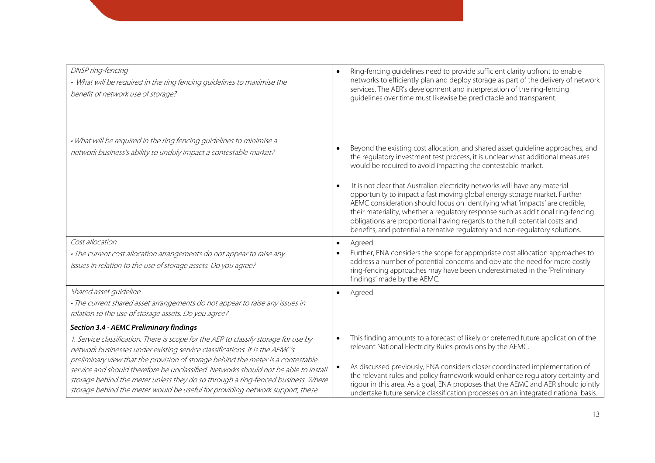| DNSP ring-fencing<br>• What will be required in the ring fencing guidelines to maximise the<br>benefit of network use of storage?                                                                                                                                                                                                                                                                                                                                                                                                                                      | Ring-fencing guidelines need to provide sufficient clarity upfront to enable<br>networks to efficiently plan and deploy storage as part of the delivery of network<br>services. The AER's development and interpretation of the ring-fencing<br>guidelines over time must likewise be predictable and transparent.                                                                                                                                                                                                                                                                                                                                                                                                                           |
|------------------------------------------------------------------------------------------------------------------------------------------------------------------------------------------------------------------------------------------------------------------------------------------------------------------------------------------------------------------------------------------------------------------------------------------------------------------------------------------------------------------------------------------------------------------------|----------------------------------------------------------------------------------------------------------------------------------------------------------------------------------------------------------------------------------------------------------------------------------------------------------------------------------------------------------------------------------------------------------------------------------------------------------------------------------------------------------------------------------------------------------------------------------------------------------------------------------------------------------------------------------------------------------------------------------------------|
| . What will be required in the ring fencing guidelines to minimise a<br>network business's ability to unduly impact a contestable market?                                                                                                                                                                                                                                                                                                                                                                                                                              | Beyond the existing cost allocation, and shared asset guideline approaches, and<br>the regulatory investment test process, it is unclear what additional measures<br>would be required to avoid impacting the contestable market.<br>It is not clear that Australian electricity networks will have any material<br>$\bullet$<br>opportunity to impact a fast moving global energy storage market. Further<br>AEMC consideration should focus on identifying what 'impacts' are credible,<br>their materiality, whether a regulatory response such as additional ring-fencing<br>obligations are proportional having regards to the full potential costs and<br>benefits, and potential alternative regulatory and non-regulatory solutions. |
| Cost allocation<br>. The current cost allocation arrangements do not appear to raise any<br>issues in relation to the use of storage assets. Do you agree?                                                                                                                                                                                                                                                                                                                                                                                                             | Agreed<br>$\bullet$<br>Further, ENA considers the scope for appropriate cost allocation approaches to<br>address a number of potential concerns and obviate the need for more costly<br>ring-fencing approaches may have been underestimated in the 'Preliminary<br>findings' made by the AEMC.                                                                                                                                                                                                                                                                                                                                                                                                                                              |
| Shared asset guideline<br>. The current shared asset arrangements do not appear to raise any issues in<br>relation to the use of storage assets. Do you agree?                                                                                                                                                                                                                                                                                                                                                                                                         | Agreed                                                                                                                                                                                                                                                                                                                                                                                                                                                                                                                                                                                                                                                                                                                                       |
| <b>Section 3.4 - AEMC Preliminary findings</b><br>1. Service classification. There is scope for the AER to classify storage for use by<br>network businesses under existing service classifications. It is the AEMC's<br>preliminary view that the provision of storage behind the meter is a contestable<br>service and should therefore be unclassified. Networks should not be able to install<br>storage behind the meter unless they do so through a ring-fenced business. Where<br>storage behind the meter would be useful for providing network support, these | This finding amounts to a forecast of likely or preferred future application of the<br>$\bullet$<br>relevant National Electricity Rules provisions by the AEMC.<br>As discussed previously, ENA considers closer coordinated implementation of<br>the relevant rules and policy framework would enhance regulatory certainty and<br>rigour in this area. As a goal, ENA proposes that the AEMC and AER should jointly<br>undertake future service classification processes on an integrated national basis.                                                                                                                                                                                                                                  |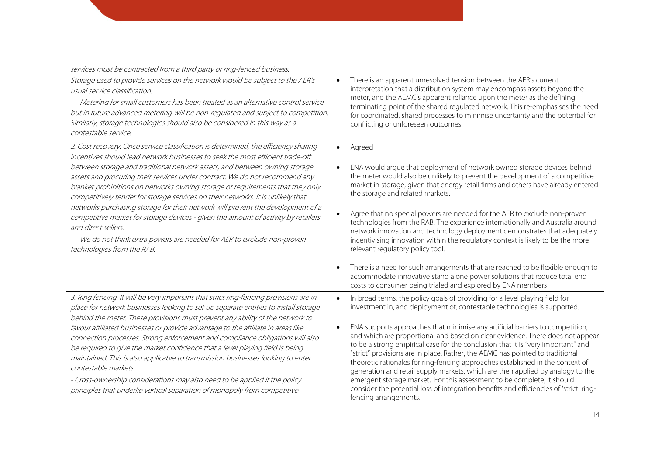| services must be contracted from a third party or ring-fenced business.<br>Storage used to provide services on the network would be subject to the AER's<br>usual service classification.<br>- Metering for small customers has been treated as an alternative control service<br>but in future advanced metering will be non-regulated and subject to competition.<br>Similarly, storage technologies should also be considered in this way as a<br>contestable service.                                                                                                                                                                                                                                                                                                                                         | There is an apparent unresolved tension between the AER's current<br>$\bullet$<br>interpretation that a distribution system may encompass assets beyond the<br>meter, and the AEMC's apparent reliance upon the meter as the defining<br>terminating point of the shared regulated network. This re-emphasises the need<br>for coordinated, shared processes to minimise uncertainty and the potential for<br>conflicting or unforeseen outcomes.                                                                                                                                                                                                                                                                                                                                                                                                                                                                     |
|-------------------------------------------------------------------------------------------------------------------------------------------------------------------------------------------------------------------------------------------------------------------------------------------------------------------------------------------------------------------------------------------------------------------------------------------------------------------------------------------------------------------------------------------------------------------------------------------------------------------------------------------------------------------------------------------------------------------------------------------------------------------------------------------------------------------|-----------------------------------------------------------------------------------------------------------------------------------------------------------------------------------------------------------------------------------------------------------------------------------------------------------------------------------------------------------------------------------------------------------------------------------------------------------------------------------------------------------------------------------------------------------------------------------------------------------------------------------------------------------------------------------------------------------------------------------------------------------------------------------------------------------------------------------------------------------------------------------------------------------------------|
| 2. Cost recovery. Once service classification is determined, the efficiency sharing<br>incentives should lead network businesses to seek the most efficient trade-off<br>between storage and traditional network assets, and between owning storage<br>assets and procuring their services under contract. We do not recommend any<br>blanket prohibitions on networks owning storage or requirements that they only<br>competitively tender for storage services on their networks. It is unlikely that<br>networks purchasing storage for their network will prevent the development of a<br>competitive market for storage devices - given the amount of activity by retailers<br>and direct sellers.<br>- We do not think extra powers are needed for AER to exclude non-proven<br>technologies from the RAB. | Agreed<br>$\bullet$<br>ENA would argue that deployment of network owned storage devices behind<br>$\bullet$<br>the meter would also be unlikely to prevent the development of a competitive<br>market in storage, given that energy retail firms and others have already entered<br>the storage and related markets.<br>Agree that no special powers are needed for the AER to exclude non-proven<br>technologies from the RAB. The experience internationally and Australia around<br>network innovation and technology deployment demonstrates that adequately<br>incentivising innovation within the regulatory context is likely to be the more<br>relevant regulatory policy tool.<br>There is a need for such arrangements that are reached to be flexible enough to<br>accommodate innovative stand alone power solutions that reduce total end<br>costs to consumer being trialed and explored by ENA members |
| 3. Ring fencing. It will be very important that strict ring-fencing provisions are in<br>place for network businesses looking to set up separate entities to install storage<br>behind the meter. These provisions must prevent any ability of the network to<br>favour affiliated businesses or provide advantage to the affiliate in areas like<br>connection processes. Strong enforcement and compliance obligations will also<br>be required to give the market confidence that a level playing field is being<br>maintained. This is also applicable to transmission businesses looking to enter<br>contestable markets.<br>- Cross-ownership considerations may also need to be applied if the policy<br>principles that underlie vertical separation of monopoly from competitive                         | In broad terms, the policy goals of providing for a level playing field for<br>$\bullet$<br>investment in, and deployment of, contestable technologies is supported.<br>ENA supports approaches that minimise any artificial barriers to competition,<br>$\bullet$<br>and which are proportional and based on clear evidence. There does not appear<br>to be a strong empirical case for the conclusion that it is "very important" and<br>"strict" provisions are in place. Rather, the AEMC has pointed to traditional<br>theoretic rationales for ring-fencing approaches established in the context of<br>generation and retail supply markets, which are then applied by analogy to the<br>emergent storage market. For this assessment to be complete, it should<br>consider the potential loss of integration benefits and efficiencies of 'strict' ring-<br>fencing arrangements.                             |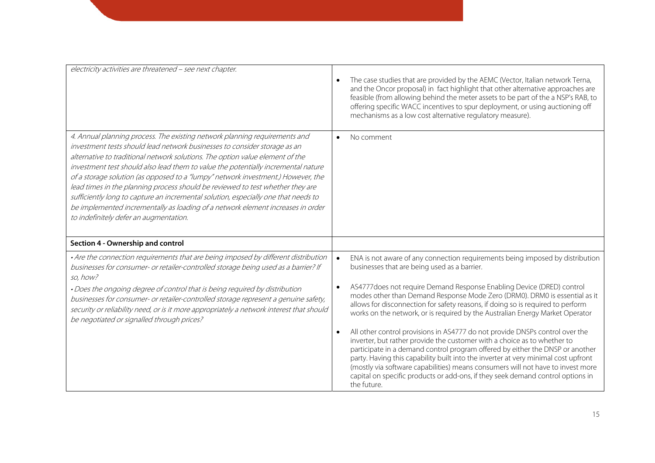| electricity activities are threatened - see next chapter.                                                                                                                                                                                                                                                                                                                                                                                                                                                                                                                                                                                                                                                              | The case studies that are provided by the AEMC (Vector, Italian network Terna,<br>and the Oncor proposal) in fact highlight that other alternative approaches are<br>feasible (from allowing behind the meter assets to be part of the a NSP's RAB, to<br>offering specific WACC incentives to spur deployment, or using auctioning off<br>mechanisms as a low cost alternative regulatory measure).                                                                                                                                                                                                  |
|------------------------------------------------------------------------------------------------------------------------------------------------------------------------------------------------------------------------------------------------------------------------------------------------------------------------------------------------------------------------------------------------------------------------------------------------------------------------------------------------------------------------------------------------------------------------------------------------------------------------------------------------------------------------------------------------------------------------|-------------------------------------------------------------------------------------------------------------------------------------------------------------------------------------------------------------------------------------------------------------------------------------------------------------------------------------------------------------------------------------------------------------------------------------------------------------------------------------------------------------------------------------------------------------------------------------------------------|
| 4. Annual planning process. The existing network planning requirements and<br>investment tests should lead network businesses to consider storage as an<br>alternative to traditional network solutions. The option value element of the<br>investment test should also lead them to value the potentially incremental nature<br>of a storage solution (as opposed to a "lumpy" network investment.) However, the<br>lead times in the planning process should be reviewed to test whether they are<br>sufficiently long to capture an incremental solution, especially one that needs to<br>be implemented incrementally as loading of a network element increases in order<br>to indefinitely defer an augmentation. | No comment                                                                                                                                                                                                                                                                                                                                                                                                                                                                                                                                                                                            |
| Section 4 - Ownership and control                                                                                                                                                                                                                                                                                                                                                                                                                                                                                                                                                                                                                                                                                      |                                                                                                                                                                                                                                                                                                                                                                                                                                                                                                                                                                                                       |
| • Are the connection requirements that are being imposed by different distribution<br>businesses for consumer- or retailer-controlled storage being used as a barrier? If<br>so, how?<br>. Does the ongoing degree of control that is being required by distribution<br>businesses for consumer- or retailer-controlled storage represent a genuine safety,<br>security or reliability need, or is it more appropriately a network interest that should                                                                                                                                                                                                                                                                | ENA is not aware of any connection requirements being imposed by distribution<br>$\bullet$<br>businesses that are being used as a barrier.<br>AS4777 does not require Demand Response Enabling Device (DRED) control<br>modes other than Demand Response Mode Zero (DRM0). DRM0 is essential as it<br>allows for disconnection for safety reasons, if doing so is required to perform                                                                                                                                                                                                                 |
| be negotiated or signalled through prices?                                                                                                                                                                                                                                                                                                                                                                                                                                                                                                                                                                                                                                                                             | works on the network, or is required by the Australian Energy Market Operator<br>All other control provisions in AS4777 do not provide DNSPs control over the<br>inverter, but rather provide the customer with a choice as to whether to<br>participate in a demand control program offered by either the DNSP or another<br>party. Having this capability built into the inverter at very minimal cost upfront<br>(mostly via software capabilities) means consumers will not have to invest more<br>capital on specific products or add-ons, if they seek demand control options in<br>the future. |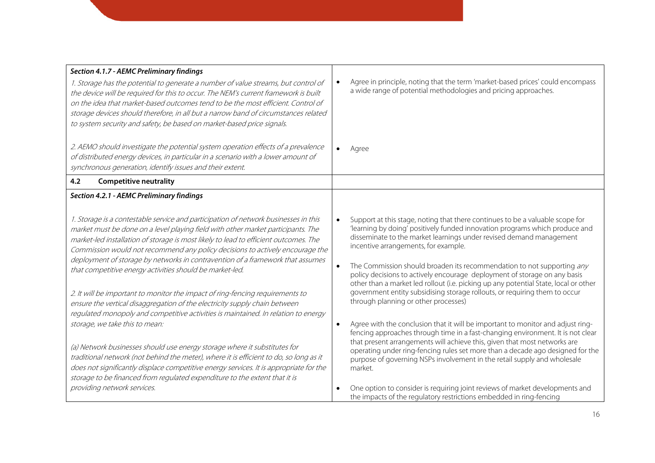| Section 4.1.7 - AEMC Preliminary findings                                                                                                                                                                                                                                                                                                                                                                                                                                                      |                                                                                                                                                                                                                                                                                                                                                                                                                                                                                                                            |
|------------------------------------------------------------------------------------------------------------------------------------------------------------------------------------------------------------------------------------------------------------------------------------------------------------------------------------------------------------------------------------------------------------------------------------------------------------------------------------------------|----------------------------------------------------------------------------------------------------------------------------------------------------------------------------------------------------------------------------------------------------------------------------------------------------------------------------------------------------------------------------------------------------------------------------------------------------------------------------------------------------------------------------|
| 1. Storage has the potential to generate a number of value streams, but control of<br>the device will be required for this to occur. The NEM's current framework is built<br>on the idea that market-based outcomes tend to be the most efficient. Control of<br>storage devices should therefore, in all but a narrow band of circumstances related<br>to system security and safety, be based on market-based price signals.                                                                 | Agree in principle, noting that the term 'market-based prices' could encompass<br>a wide range of potential methodologies and pricing approaches.                                                                                                                                                                                                                                                                                                                                                                          |
| 2. AEMO should investigate the potential system operation effects of a prevalence<br>of distributed energy devices, in particular in a scenario with a lower amount of<br>synchronous generation, identify issues and their extent.                                                                                                                                                                                                                                                            | Agree                                                                                                                                                                                                                                                                                                                                                                                                                                                                                                                      |
| <b>Competitive neutrality</b><br>4.2                                                                                                                                                                                                                                                                                                                                                                                                                                                           |                                                                                                                                                                                                                                                                                                                                                                                                                                                                                                                            |
| Section 4.2.1 - AEMC Preliminary findings                                                                                                                                                                                                                                                                                                                                                                                                                                                      |                                                                                                                                                                                                                                                                                                                                                                                                                                                                                                                            |
| 1. Storage is a contestable service and participation of network businesses in this<br>market must be done on a level playing field with other market participants. The<br>market-led installation of storage is most likely to lead to efficient outcomes. The<br>Commission would not recommend any policy decisions to actively encourage the<br>deployment of storage by networks in contravention of a framework that assumes<br>that competitive energy activities should be market-led. | Support at this stage, noting that there continues to be a valuable scope for<br>'learning by doing' positively funded innovation programs which produce and<br>disseminate to the market learnings under revised demand management<br>incentive arrangements, for example.<br>The Commission should broaden its recommendation to not supporting any<br>policy decisions to actively encourage deployment of storage on any basis<br>other than a market led rollout (i.e. picking up any potential State, local or other |
| 2. It will be important to monitor the impact of ring-fencing requirements to<br>ensure the vertical disaggregation of the electricity supply chain between<br>regulated monopoly and competitive activities is maintained. In relation to energy                                                                                                                                                                                                                                              | government entity subsidising storage rollouts, or requiring them to occur<br>through planning or other processes)                                                                                                                                                                                                                                                                                                                                                                                                         |
| storage, we take this to mean:<br>(a) Network businesses should use energy storage where it substitutes for                                                                                                                                                                                                                                                                                                                                                                                    | Agree with the conclusion that it will be important to monitor and adjust ring-<br>$\bullet$<br>fencing approaches through time in a fast-changing environment. It is not clear<br>that present arrangements will achieve this, given that most networks are                                                                                                                                                                                                                                                               |
| traditional network (not behind the meter), where it is efficient to do, so long as it<br>does not significantly displace competitive energy services. It is appropriate for the<br>storage to be financed from regulated expenditure to the extent that it is                                                                                                                                                                                                                                 | operating under ring-fencing rules set more than a decade ago designed for the<br>purpose of governing NSPs involvement in the retail supply and wholesale<br>market.                                                                                                                                                                                                                                                                                                                                                      |
| providing network services.                                                                                                                                                                                                                                                                                                                                                                                                                                                                    | One option to consider is requiring joint reviews of market developments and<br>the impacts of the regulatory restrictions embedded in ring-fencing                                                                                                                                                                                                                                                                                                                                                                        |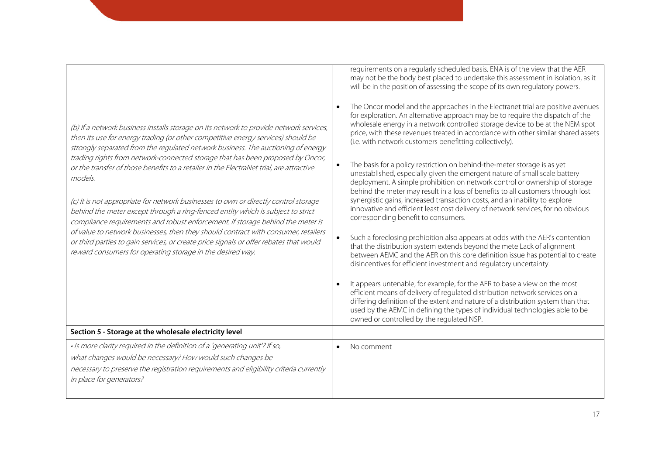| (b) If a network business installs storage on its network to provide network services,<br>then its use for energy trading (or other competitive energy services) should be<br>strongly separated from the regulated network business. The auctioning of energy<br>trading rights from network-connected storage that has been proposed by Oncor,<br>or the transfer of those benefits to a retailer in the ElectraNet trial, are attractive<br>models.<br>(c) It is not appropriate for network businesses to own or directly control storage<br>behind the meter except through a ring-fenced entity which is subject to strict<br>compliance requirements and robust enforcement. If storage behind the meter is<br>of value to network businesses, then they should contract with consumer, retailers<br>or third parties to gain services, or create price signals or offer rebates that would<br>reward consumers for operating storage in the desired way. | requirements on a regularly scheduled basis. ENA is of the view that the AER<br>may not be the body best placed to undertake this assessment in isolation, as it<br>will be in the position of assessing the scope of its own regulatory powers.<br>The Oncor model and the approaches in the Electranet trial are positive avenues<br>for exploration. An alternative approach may be to require the dispatch of the<br>wholesale energy in a network controlled storage device to be at the NEM spot<br>price, with these revenues treated in accordance with other similar shared assets<br>(i.e. with network customers benefitting collectively).<br>The basis for a policy restriction on behind-the-meter storage is as yet<br>unestablished, especially given the emergent nature of small scale battery<br>deployment. A simple prohibition on network control or ownership of storage<br>behind the meter may result in a loss of benefits to all customers through lost<br>synergistic gains, increased transaction costs, and an inability to explore<br>innovative and efficient least cost delivery of network services, for no obvious<br>corresponding benefit to consumers.<br>Such a foreclosing prohibition also appears at odds with the AER's contention<br>that the distribution system extends beyond the mete Lack of alignment<br>between AEMC and the AER on this core definition issue has potential to create<br>disincentives for efficient investment and regulatory uncertainty.<br>It appears untenable, for example, for the AER to base a view on the most<br>efficient means of delivery of regulated distribution network services on a<br>differing definition of the extent and nature of a distribution system than that<br>used by the AEMC in defining the types of individual technologies able to be<br>owned or controlled by the regulated NSP. |
|------------------------------------------------------------------------------------------------------------------------------------------------------------------------------------------------------------------------------------------------------------------------------------------------------------------------------------------------------------------------------------------------------------------------------------------------------------------------------------------------------------------------------------------------------------------------------------------------------------------------------------------------------------------------------------------------------------------------------------------------------------------------------------------------------------------------------------------------------------------------------------------------------------------------------------------------------------------|----------------------------------------------------------------------------------------------------------------------------------------------------------------------------------------------------------------------------------------------------------------------------------------------------------------------------------------------------------------------------------------------------------------------------------------------------------------------------------------------------------------------------------------------------------------------------------------------------------------------------------------------------------------------------------------------------------------------------------------------------------------------------------------------------------------------------------------------------------------------------------------------------------------------------------------------------------------------------------------------------------------------------------------------------------------------------------------------------------------------------------------------------------------------------------------------------------------------------------------------------------------------------------------------------------------------------------------------------------------------------------------------------------------------------------------------------------------------------------------------------------------------------------------------------------------------------------------------------------------------------------------------------------------------------------------------------------------------------------------------------------------------------------------------------------------------------------------------------------------------------------------------|
| Section 5 - Storage at the wholesale electricity level                                                                                                                                                                                                                                                                                                                                                                                                                                                                                                                                                                                                                                                                                                                                                                                                                                                                                                           |                                                                                                                                                                                                                                                                                                                                                                                                                                                                                                                                                                                                                                                                                                                                                                                                                                                                                                                                                                                                                                                                                                                                                                                                                                                                                                                                                                                                                                                                                                                                                                                                                                                                                                                                                                                                                                                                                              |
| · Is more clarity required in the definition of a 'generating unit'? If so,<br>what changes would be necessary? How would such changes be<br>necessary to preserve the registration requirements and eligibility criteria currently<br>in place for generators?                                                                                                                                                                                                                                                                                                                                                                                                                                                                                                                                                                                                                                                                                                  | No comment                                                                                                                                                                                                                                                                                                                                                                                                                                                                                                                                                                                                                                                                                                                                                                                                                                                                                                                                                                                                                                                                                                                                                                                                                                                                                                                                                                                                                                                                                                                                                                                                                                                                                                                                                                                                                                                                                   |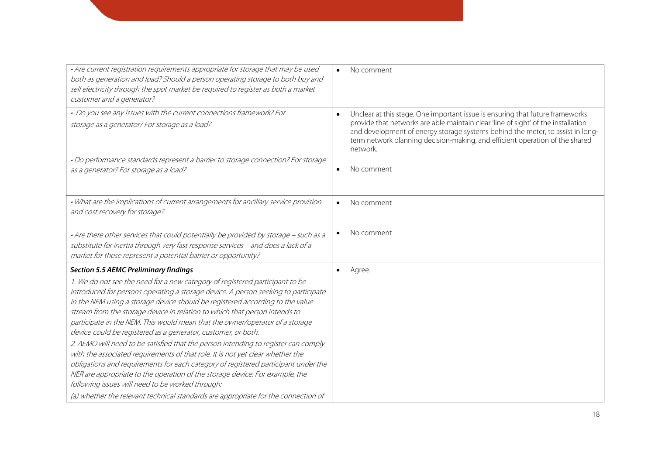| · Are current registration requirements appropriate for storage that may be used<br>both as generation and load? Should a person operating storage to both buy and<br>sell electricity through the spot market be required to register as both a market<br>customer and a generator?                                                                                                                                                                                                                                                                                                                                                                                                                                                                                                                                                                                                                                                                                                                                       | No comment<br>$\bullet$                                                                                                                                                                                                                                                                                                                                       |
|----------------------------------------------------------------------------------------------------------------------------------------------------------------------------------------------------------------------------------------------------------------------------------------------------------------------------------------------------------------------------------------------------------------------------------------------------------------------------------------------------------------------------------------------------------------------------------------------------------------------------------------------------------------------------------------------------------------------------------------------------------------------------------------------------------------------------------------------------------------------------------------------------------------------------------------------------------------------------------------------------------------------------|---------------------------------------------------------------------------------------------------------------------------------------------------------------------------------------------------------------------------------------------------------------------------------------------------------------------------------------------------------------|
| • Do you see any issues with the current connections framework? For<br>storage as a generator? For storage as a load?                                                                                                                                                                                                                                                                                                                                                                                                                                                                                                                                                                                                                                                                                                                                                                                                                                                                                                      | Unclear at this stage. One important issue is ensuring that future frameworks<br>$\bullet$<br>provide that networks are able maintain clear 'line of sight' of the installation<br>and development of energy storage systems behind the meter, to assist in long-<br>term network planning decision-making, and efficient operation of the shared<br>network. |
| . Do performance standards represent a barrier to storage connection? For storage<br>as a generator? For storage as a load?                                                                                                                                                                                                                                                                                                                                                                                                                                                                                                                                                                                                                                                                                                                                                                                                                                                                                                | No comment                                                                                                                                                                                                                                                                                                                                                    |
| • What are the implications of current arrangements for ancillary service provision<br>and cost recovery for storage?                                                                                                                                                                                                                                                                                                                                                                                                                                                                                                                                                                                                                                                                                                                                                                                                                                                                                                      | No comment<br>$\bullet$                                                                                                                                                                                                                                                                                                                                       |
| • Are there other services that could potentially be provided by storage - such as a<br>substitute for inertia through very fast response services - and does a lack of a<br>market for these represent a potential barrier or opportunity?                                                                                                                                                                                                                                                                                                                                                                                                                                                                                                                                                                                                                                                                                                                                                                                | No comment                                                                                                                                                                                                                                                                                                                                                    |
| <b>Section 5.5 AEMC Preliminary findings</b><br>1. We do not see the need for a new category of registered participant to be<br>introduced for persons operating a storage device. A person seeking to participate<br>in the NEM using a storage device should be registered according to the value<br>stream from the storage device in relation to which that person intends to<br>participate in the NEM. This would mean that the owner/operator of a storage<br>device could be registered as a generator, customer, or both.<br>2. AEMO will need to be satisfied that the person intending to register can comply<br>with the associated requirements of that role. It is not yet clear whether the<br>obligations and requirements for each category of registered participant under the<br>NER are appropriate to the operation of the storage device. For example, the<br>following issues will need to be worked through:<br>(a) whether the relevant technical standards are appropriate for the connection of | Agree.                                                                                                                                                                                                                                                                                                                                                        |